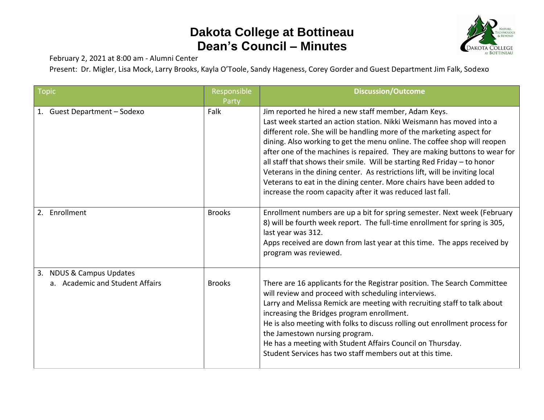## **Dakota College at Bottineau Dean's Council – Minutes**



February 2, 2021 at 8:00 am - Alumni Center

Present: Dr. Migler, Lisa Mock, Larry Brooks, Kayla O'Toole, Sandy Hageness, Corey Gorder and Guest Department Jim Falk, Sodexo

| <b>Topic</b>                                                | Responsible<br>Party | <b>Discussion/Outcome</b>                                                                                                                                                                                                                                                                                                                                                                                                                                                                                                                                                                                                                                        |
|-------------------------------------------------------------|----------------------|------------------------------------------------------------------------------------------------------------------------------------------------------------------------------------------------------------------------------------------------------------------------------------------------------------------------------------------------------------------------------------------------------------------------------------------------------------------------------------------------------------------------------------------------------------------------------------------------------------------------------------------------------------------|
| 1. Guest Department - Sodexo                                | Falk                 | Jim reported he hired a new staff member, Adam Keys.<br>Last week started an action station. Nikki Weismann has moved into a<br>different role. She will be handling more of the marketing aspect for<br>dining. Also working to get the menu online. The coffee shop will reopen<br>after one of the machines is repaired. They are making buttons to wear for<br>all staff that shows their smile. Will be starting Red Friday - to honor<br>Veterans in the dining center. As restrictions lift, will be inviting local<br>Veterans to eat in the dining center. More chairs have been added to<br>increase the room capacity after it was reduced last fall. |
| 2. Enrollment                                               | <b>Brooks</b>        | Enrollment numbers are up a bit for spring semester. Next week (February<br>8) will be fourth week report. The full-time enrollment for spring is 305,<br>last year was 312.<br>Apps received are down from last year at this time. The apps received by<br>program was reviewed.                                                                                                                                                                                                                                                                                                                                                                                |
| 3. NDUS & Campus Updates<br>a. Academic and Student Affairs | <b>Brooks</b>        | There are 16 applicants for the Registrar position. The Search Committee<br>will review and proceed with scheduling interviews.<br>Larry and Melissa Remick are meeting with recruiting staff to talk about<br>increasing the Bridges program enrollment.<br>He is also meeting with folks to discuss rolling out enrollment process for<br>the Jamestown nursing program.<br>He has a meeting with Student Affairs Council on Thursday.<br>Student Services has two staff members out at this time.                                                                                                                                                             |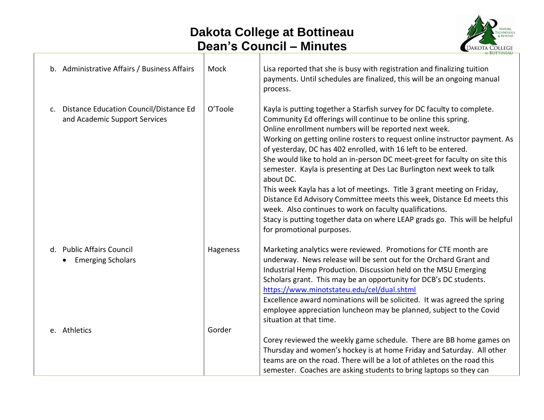## **Dakota College at Bottineau Dean's Council – Minutes**



| b. Administrative Affairs / Business Affairs                               | Mock     | Lisa reported that she is busy with registration and finalizing tuition<br>payments. Until schedules are finalized, this will be an ongoing manual<br>process.                                                                                                                                                                                                                                                                                                                                                                                                                                                                                                                                                                                                                                                                                     |
|----------------------------------------------------------------------------|----------|----------------------------------------------------------------------------------------------------------------------------------------------------------------------------------------------------------------------------------------------------------------------------------------------------------------------------------------------------------------------------------------------------------------------------------------------------------------------------------------------------------------------------------------------------------------------------------------------------------------------------------------------------------------------------------------------------------------------------------------------------------------------------------------------------------------------------------------------------|
| c. Distance Education Council/Distance Ed<br>and Academic Support Services | O'Toole  | Kayla is putting together a Starfish survey for DC faculty to complete.<br>Community Ed offerings will continue to be online this spring.<br>Online enrollment numbers will be reported next week.<br>Working on getting online rosters to request online instructor payment. As<br>of yesterday, DC has 402 enrolled, with 16 left to be entered.<br>She would like to hold an in-person DC meet-greet for faculty on site this<br>semester. Kayla is presenting at Des Lac Burlington next week to talk<br>about DC.<br>This week Kayla has a lot of meetings. Title 3 grant meeting on Friday,<br>Distance Ed Advisory Committee meets this week, Distance Ed meets this<br>week. Also continues to work on faculty qualifications.<br>Stacy is putting together data on where LEAP grads go. This will be helpful<br>for promotional purposes. |
| d. Public Affairs Council<br><b>Emerging Scholars</b>                      | Hageness | Marketing analytics were reviewed. Promotions for CTE month are<br>underway. News release will be sent out for the Orchard Grant and<br>Industrial Hemp Production. Discussion held on the MSU Emerging<br>Scholars grant. This may be an opportunity for DCB's DC students.<br>https://www.minotstateu.edu/cel/dual.shtml<br>Excellence award nominations will be solicited. It was agreed the spring<br>employee appreciation luncheon may be planned, subject to the Covid<br>situation at that time.                                                                                                                                                                                                                                                                                                                                           |
| e. Athletics                                                               | Gorder   | Corey reviewed the weekly game schedule. There are BB home games on<br>Thursday and women's hockey is at home Friday and Saturday. All other<br>teams are on the road. There will be a lot of athletes on the road this<br>semester. Coaches are asking students to bring laptops so they can                                                                                                                                                                                                                                                                                                                                                                                                                                                                                                                                                      |